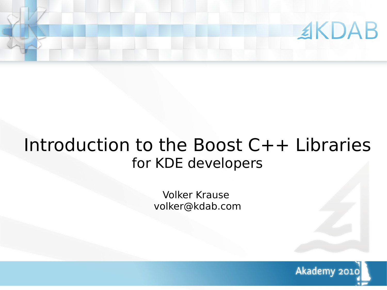

# Introduction to the Boost C++ Libraries for KDE developers

Volker Krause volker@kdab.com

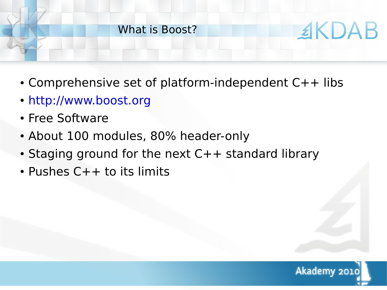# ≰KDAB What is Boost?

- Comprehensive set of platform-independent  $C++$  libs
- [http://www.boost.org](http://www.boost.org/)
- Free Software
- About 100 modules, 80% header-only
- $\cdot$  Staging ground for the next C++ standard library
- $\cdot$  Pushes  $C++$  to its limits

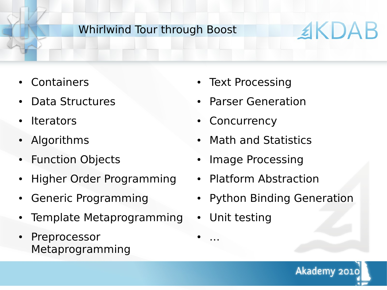### Whirlwind Tour through Boost

## **Containers**

- Data Structures
- **Iterators**
- **Algorithms**
- **Function Objects**
- **Higher Order Programming**
- **Generic Programming**
- Template Metaprogramming
- Preprocessor Metaprogramming
- Text Processing
- **Parser Generation**
- Concurrency
- **Math and Statistics**
- Image Processing
- Platform Abstraction
- Python Binding Generation
- Unit testing

● ...

Akademy 2010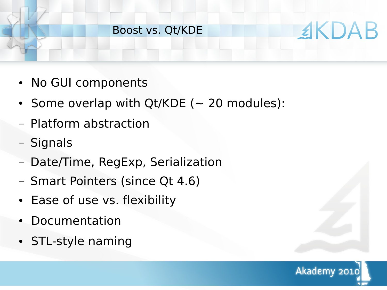## Boost vs. Qt/KDE

- No GUI components
- Some overlap with Qt/KDE ( $\sim$  20 modules):
- Platform abstraction
- Signals
- Date/Time, RegExp, Serialization
- Smart Pointers (since Qt 4.6)
- Ease of use vs. flexibility
- **Documentation**
- STL-style naming

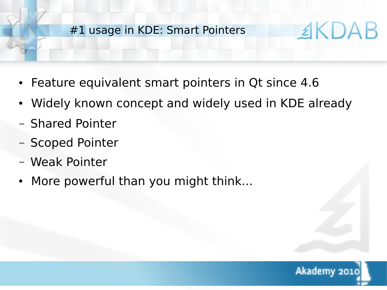#### #1 usage in KDE: Smart Pointers

- Feature equivalent smart pointers in Qt since 4.6
- Widely known concept and widely used in KDE already
- Shared Pointer
- Scoped Pointer
- Weak Pointer
- More powerful than you might think...

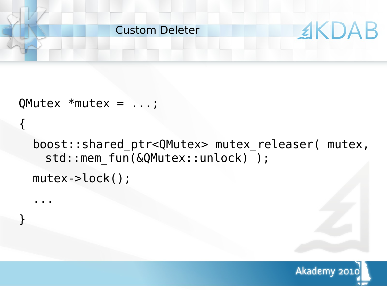

QMutex \*mutex = ...;

{

...

}

boost::shared ptr<QMutex> mutex releaser( mutex, std::mem fun(&QMutex::unlock) ); mutex->lock();

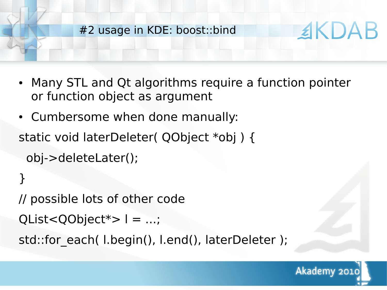

- Many STL and Qt algorithms require a function pointer or function object as argument
- Cumbersome when done manually:

static void laterDeleter( QObject \*obj ) { obj->deleteLater();

```
}
// possible lots of other code
QList<QObject*>l = ...;std::for each( l.begin(), l.end(), laterDeleter );
```
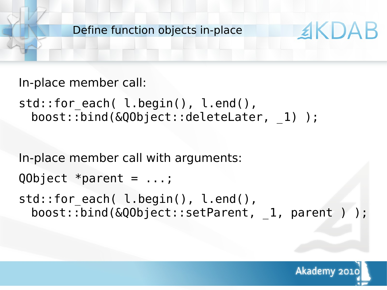Define function objects in-place

```
In-place member call:
```

```
std::for each( l.begin(), l.end(),
 boost::bind(&QObject::deleteLater, _1) );
```
In-place member call with arguments:

```
QObject *parent = ...;
```

```
std::for each( l.begin(), l.end(),
 boost::bind(&QObject::setParent, 1, parent ) );
```


**EKDAB**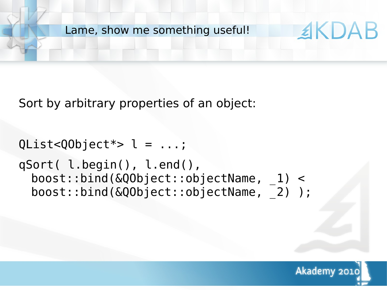Lame, show me something useful!

Sort by arbitrary properties of an object:

```
QList < QObject * > l = ...;qSort( l.begin(), l.end(), 
 boost::bind(&QObject::objectName, _1) < 
 boost::bind(&QObject::objectName, _2) );
```
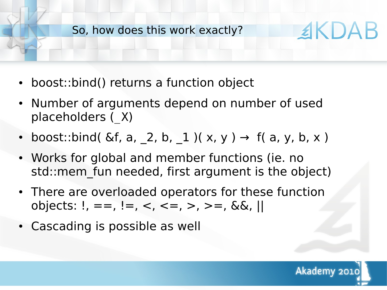So, how does this work exactly?

- boost::bind() returns a function object
- Number of arguments depend on number of used placeholders (\_X)
- boost::bind(  $\&f$ , a,  $\_2$ , b,  $\_1$  )( x, y )  $\rightarrow$  f( a, y, b, x )
- Works for global and member functions (ie. no std::mem fun needed, first argument is the object)
- There are overloaded operators for these function objects:  $!, ==, !=, <, <=, >, >=, & & &; ||$
- Cascading is possible as well

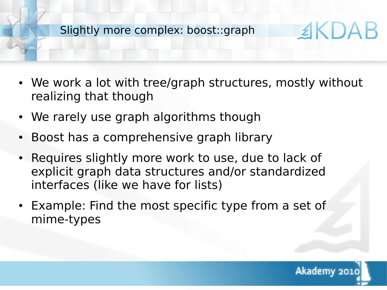Slightly more complex: boost::graph

- We work a lot with tree/graph structures, mostly without realizing that though
- We rarely use graph algorithms though
- Boost has a comprehensive graph library
- Requires slightly more work to use, due to lack of explicit graph data structures and/or standardized interfaces (like we have for lists)
- Example: Find the most specific type from a set of mime-types



**EKDAB**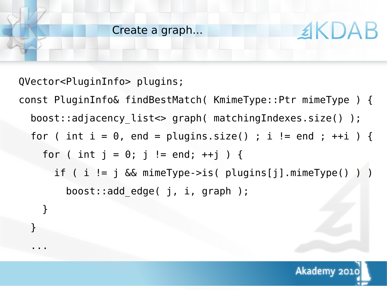QVector<PluginInfo> plugins;

}

...

const PluginInfo& findBestMatch( KmimeType::Ptr mimeType ) { boost::adjacency\_list<> graph( matchingIndexes.size() ); for ( int i =  $0$ , end = plugins.size() ; i != end ; ++i ) { for ( int  $j = 0$ ;  $j$  != end; ++j ) { if ( i != j && mimeType->is( plugins[j].mimeType() ) ) boost::add\_edge( j, i, graph ); }



**EKDAB**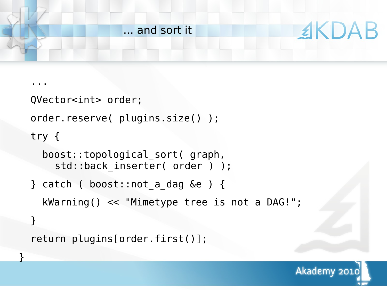

```
 ...
  QVector<int> order;
  order.reserve( plugins.size() );
  try {
     boost::topological_sort( graph,
      std::back inserter( order ) );
  } catch ( boost::not a dag &e ) {
     kWarning() << "Mimetype tree is not a DAG!";
 }
   return plugins[order.first()];
```
}

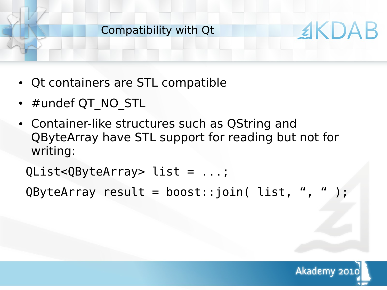#### Compatibility with Qt

- Qt containers are STL compatible
- #undef QT\_NO\_STL
- Container-like structures such as QString and QByteArray have STL support for reading but not for writing:

QList<QByteArray> list = ...;

 $QByteArray result = boost::join( list, " , " )$ ;

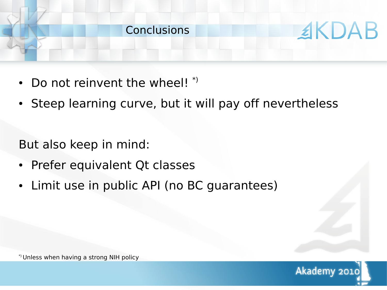

- Do not reinvent the wheel!  $*$
- Steep learning curve, but it will pay off nevertheless

But also keep in mind:

- Prefer equivalent Qt classes
- Limit use in public API (no BC guarantees)